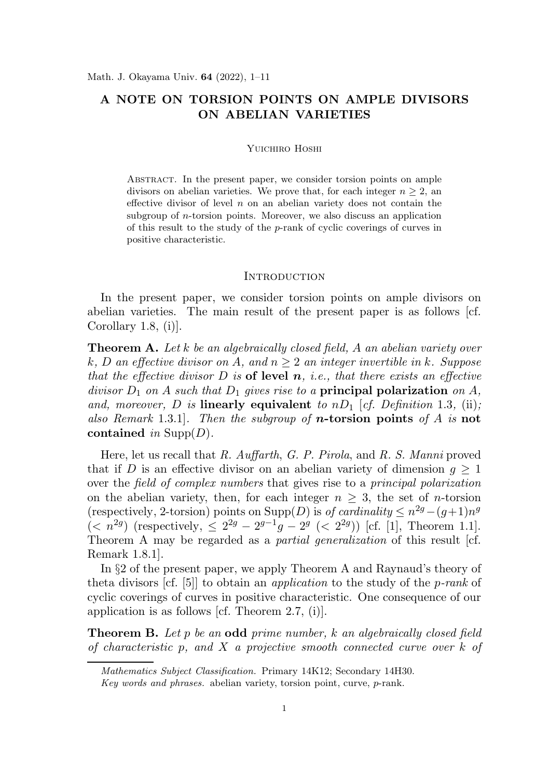# A NOTE ON TORSION POINTS ON AMPLE DIVISORS ON ABELIAN VARIETIES

#### Yuichiro Hoshi

ABSTRACT. In the present paper, we consider torsion points on ample divisors on abelian varieties. We prove that, for each integer  $n \geq 2$ , an effective divisor of level  $n$  on an abelian variety does not contain the subgroup of n-torsion points. Moreover, we also discuss an application of this result to the study of the p-rank of cyclic coverings of curves in positive characteristic.

#### **INTRODUCTION**

In the present paper, we consider torsion points on ample divisors on abelian varieties. The main result of the present paper is as follows [cf. Corollary 1.8, (i)].

**Theorem A.** Let k be an algebraically closed field, A an abelian variety over k, D an effective divisor on A, and  $n > 2$  an integer invertible in k. Suppose that the effective divisor D is of level  $n$ , *i.e.*, that there exists an effective divisor  $D_1$  on A such that  $D_1$  gives rise to a **principal polarization** on A, and, moreover, D is linearly equivalent to  $nD_1$  [cf. Definition 1.3, (ii); also Remark 1.3.1. Then the subgroup of **n**-torsion points of A is not contained in  $\text{Supp}(D)$ .

Here, let us recall that R. Auffarth, G. P. Pirola, and R. S. Manni proved that if D is an effective divisor on an abelian variety of dimension  $g \geq 1$ over the field of complex numbers that gives rise to a principal polarization on the abelian variety, then, for each integer  $n \geq 3$ , the set of *n*-torsion (respectively, 2-torsion) points on  $\text{Supp}(D)$  is of cardinality  $\leq n^{2g}-(g+1)n^g$  $(*n*<sup>2g</sup>)$  (respectively,  $\leq 2^{2g} - 2^{g-1}g - 2^g (*2*<sup>2g</sup>)$ ) [cf. [1], Theorem 1.1]. Theorem A may be regarded as a *partial generalization* of this result [cf. Remark 1.8.1].

In §2 of the present paper, we apply Theorem A and Raynaud's theory of theta divisors [cf. [5]] to obtain an application to the study of the p-rank of cyclic coverings of curves in positive characteristic. One consequence of our application is as follows [cf. Theorem 2.7, (i)].

**Theorem B.** Let p be an **odd** prime number, k an algebraically closed field of characteristic p, and X a projective smooth connected curve over  $k$  of

Mathematics Subject Classification. Primary 14K12; Secondary 14H30.

Key words and phrases. abelian variety, torsion point, curve, p-rank.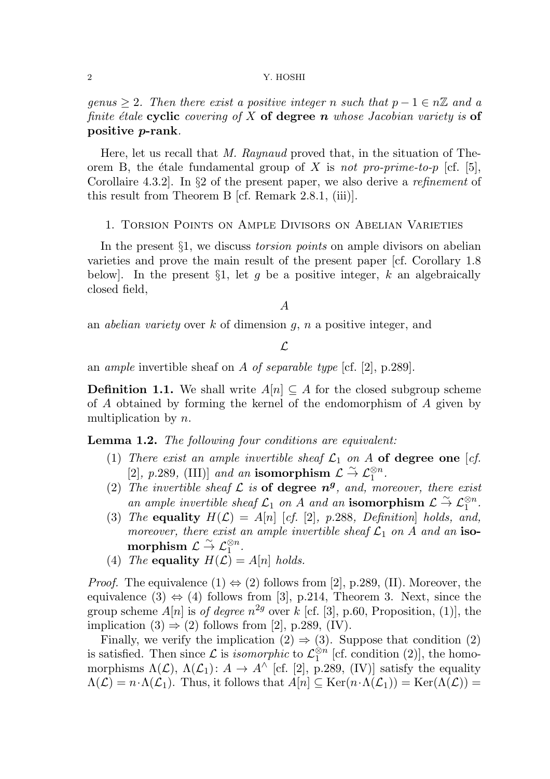genus  $\geq 2$ . Then there exist a positive integer n such that  $p - 1 \in n\mathbb{Z}$  and a finite étale cyclic covering of X of degree n whose Jacobian variety is of positive p-rank.

Here, let us recall that M. Raynaud proved that, in the situation of Theorem B, the étale fundamental group of X is not pro-prime-to-p [cf. [5], Corollaire 4.3.2]. In §2 of the present paper, we also derive a refinement of this result from Theorem B [cf. Remark 2.8.1, (iii)].

# 1. Torsion Points on Ample Divisors on Abelian Varieties

In the present  $\S1$ , we discuss *torsion points* on ample divisors on abelian varieties and prove the main result of the present paper [cf. Corollary 1.8 below. In the present  $\S1$ , let g be a positive integer, k an algebraically closed field,

### A

an *abelian variety* over k of dimension  $g$ ,  $n$  a positive integer, and

# $\mathcal{L}$

an ample invertible sheaf on A of separable type [cf. [2], p.289].

**Definition 1.1.** We shall write  $A[n]$  ⊂ A for the closed subgroup scheme of A obtained by forming the kernel of the endomorphism of A given by multiplication by  $n$ .

Lemma 1.2. The following four conditions are equivalent:

- (1) There exist an ample invertible sheaf  $\mathcal{L}_1$  on A of degree one [cf. [2], p.289, (III)] and an isomorphism  $\mathcal{L} \overset{\sim}{\rightarrow} \mathcal{L}_1^{\otimes n}$ .
- (2) The invertible sheaf  $\mathcal L$  is of degree  $n^g$ , and, moreover, there exist an ample invertible sheaf  $\mathcal{L}_1$  on A and an isomorphism  $\mathcal{L} \overset{\sim}{\rightarrow} \mathcal{L}_1^{\otimes n}$ .
- (3) The equality  $H(\mathcal{L}) = A[n]$  [cf. [2], p.288, Definition holds, and, moreover, there exist an ample invertible sheaf  $\mathcal{L}_1$  on A and an iso- $\text{morphism }\mathcal{L} \overset{\sim}{\rightarrow} \mathcal{L}_1^{\otimes n}.$
- (4) The equality  $H(\mathcal{L}) = A[n]$  holds.

*Proof.* The equivalence  $(1) \Leftrightarrow (2)$  follows from [2], p.289, (II). Moreover, the equivalence  $(3) \Leftrightarrow (4)$  follows from [3], p.214, Theorem 3. Next, since the group scheme  $A[n]$  is *of degree*  $n^{2g}$  over k [cf. [3], p.60, Proposition, (1)], the implication  $(3) \Rightarrow (2)$  follows from [2], p.289, (IV).

Finally, we verify the implication  $(2) \Rightarrow (3)$ . Suppose that condition  $(2)$ is satisfied. Then since  $\mathcal L$  is *isomorphic* to  $\mathcal L_1^{\otimes n}$  $_{1}^{\otimes n}$  [cf. condition (2)], the homomorphisms  $\Lambda(\mathcal{L})$ ,  $\Lambda(\mathcal{L}_1): A \to A^{\wedge}$  [cf. [2], p.289, (IV)] satisfy the equality  $\Lambda(\mathcal{L}) = n \cdot \Lambda(\mathcal{L}_1)$ . Thus, it follows that  $A[n] \subseteq \text{Ker}(n \cdot \Lambda(\mathcal{L}_1)) = \text{Ker}(\Lambda(\mathcal{L}))$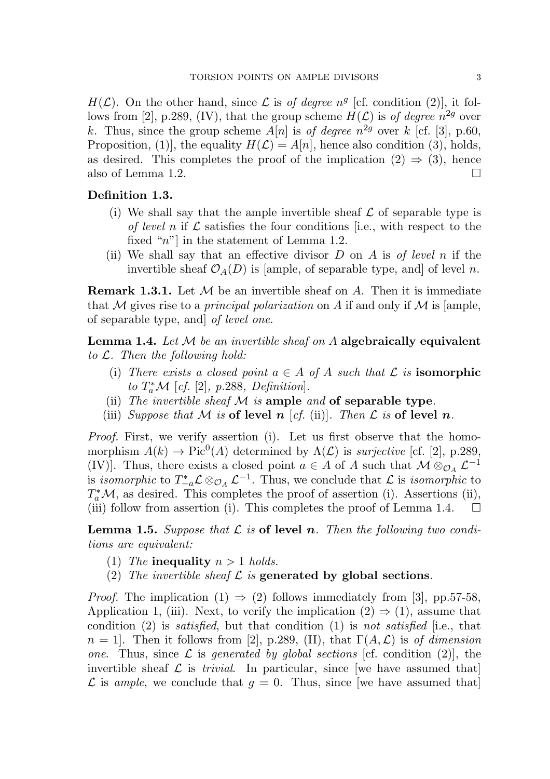$H(\mathcal{L})$ . On the other hand, since  $\mathcal L$  is of degree  $n^g$  [cf. condition (2)], it follows from [2], p.289, (IV), that the group scheme  $H(\mathcal{L})$  is of degree  $n^{2g}$  over k. Thus, since the group scheme  $A[n]$  is of degree  $n^{2g}$  over k [cf. [3], p.60, Proposition, (1), the equality  $H(\mathcal{L}) = A[n]$ , hence also condition (3), holds, as desired. This completes the proof of the implication  $(2) \Rightarrow (3)$ , hence also of Lemma 1.2.

# Definition 1.3.

- (i) We shall say that the ample invertible sheaf  $\mathcal L$  of separable type is of level n if  $\mathcal L$  satisfies the four conditions [i.e., with respect to the fixed " $n$ "] in the statement of Lemma 1.2.
- (ii) We shall say that an effective divisor  $D$  on  $A$  is of level  $n$  if the invertible sheaf  $\mathcal{O}_A(D)$  is [ample, of separable type, and] of level n.

**Remark 1.3.1.** Let  $M$  be an invertible sheaf on A. Then it is immediate that M gives rise to a *principal polarization* on A if and only if M is [ample, of separable type, and] of level one.

**Lemma 1.4.** Let  $M$  be an invertible sheaf on  $A$  algebraically equivalent to  $\mathcal{L}$ . Then the following hold:

- (i) There exists a closed point  $a \in A$  of A such that  $\mathcal L$  is **isomorphic** to  $T_a^*\mathcal{M}$  [cf. [2], p.288, Definition].
- (ii) The invertible sheaf  $M$  is ample and of separable type.
- (iii) Suppose that M is of level n [cf. (ii)]. Then L is of level n.

Proof. First, we verify assertion (i). Let us first observe that the homomorphism  $A(k) \to Pic^0(A)$  determined by  $\Lambda(\mathcal{L})$  is *surjective* [cf. [2], p.289, (IV)]. Thus, there exists a closed point  $a \in A$  of A such that  $\mathcal{M} \otimes_{\mathcal{O}_A} \mathcal{L}^{-1}$ is isomorphic to  $T_{-a}^*\mathcal{L} \otimes_{\mathcal{O}_A} \mathcal{L}^{-1}$ . Thus, we conclude that  $\mathcal L$  is isomorphic to  $T_a^*$ *M*, as desired. This completes the proof of assertion (i). Assertions (ii), (iii) follow from assertion (i). This completes the proof of Lemma 1.4.  $\Box$ 

**Lemma 1.5.** Suppose that  $\mathcal{L}$  is of level n. Then the following two conditions are equivalent:

- (1) The inequality  $n > 1$  holds.
- (2) The invertible sheaf  $\mathcal L$  is generated by global sections.

*Proof.* The implication  $(1) \Rightarrow (2)$  follows immediately from [3], pp.57-58, Application 1, (iii). Next, to verify the implication  $(2) \Rightarrow (1)$ , assume that condition  $(2)$  is *satisfied*, but that condition  $(1)$  is not *satisfied* [i.e., that  $n = 1$ . Then it follows from [2], p.289, (II), that  $\Gamma(A, \mathcal{L})$  is of dimension one. Thus, since  $\mathcal L$  is generated by global sections [cf. condition (2)], the invertible sheaf  $\mathcal L$  is *trivial*. In particular, since [we have assumed that]  $\mathcal L$  is ample, we conclude that  $g = 0$ . Thus, since [we have assumed that]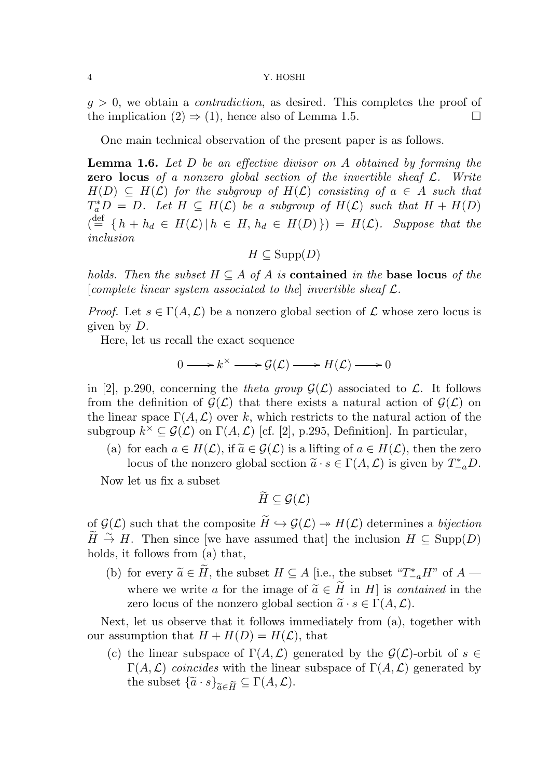$g > 0$ , we obtain a *contradiction*, as desired. This completes the proof of the implication  $(2) \Rightarrow (1)$ , hence also of Lemma 1.5.

One main technical observation of the present paper is as follows.

Lemma 1.6. Let D be an effective divisor on A obtained by forming the **zero locus** of a nonzero global section of the invertible sheaf  $\mathcal{L}$ . Write  $H(D) \subseteq H(\mathcal{L})$  for the subgroup of  $H(\mathcal{L})$  consisting of  $a \in A$  such that  $T_a^*D = D.$  Let  $H \subseteq H(\mathcal{L})$  be a subgroup of  $H(\mathcal{L})$  such that  $H + H(D)$  $\mathcal{A} \stackrel{\text{def}}{=} \{h + h_d \in H(\mathcal{L}) \, | \, h \in H, h_d \in H(D)\}\ = \mathcal{H}(\mathcal{L}).$  Suppose that the inclusion

$$
H \subseteq \mathrm{Supp}(D)
$$

holds. Then the subset  $H \subseteq A$  of A is **contained** in the **base locus** of the [complete linear system associated to the] invertible sheaf  $\mathcal{L}$ .

*Proof.* Let  $s \in \Gamma(A, \mathcal{L})$  be a nonzero global section of  $\mathcal L$  whose zero locus is given by D.

Here, let us recall the exact sequence

$$
0 \longrightarrow k^{\times} \longrightarrow \mathcal{G}(\mathcal{L}) \longrightarrow H(\mathcal{L}) \longrightarrow 0
$$

in [2], p.290, concerning the theta group  $\mathcal{G}(\mathcal{L})$  associated to  $\mathcal{L}$ . It follows from the definition of  $\mathcal{G}(\mathcal{L})$  that there exists a natural action of  $\mathcal{G}(\mathcal{L})$  on the linear space  $\Gamma(A, \mathcal{L})$  over k, which restricts to the natural action of the subgroup  $k^{\times} \subseteq \mathcal{G}(\mathcal{L})$  on  $\Gamma(A, \mathcal{L})$  [cf. [2], p.295, Definition]. In particular,

(a) for each  $a \in H(\mathcal{L})$ , if  $\widetilde{a} \in \mathcal{G}(\mathcal{L})$  is a lifting of  $a \in H(\mathcal{L})$ , then the zero locus of the nonzero global section  $\tilde{a} \cdot s \in \Gamma(A, \mathcal{L})$  is given by  $T_{-a}^* D$ .

Now let us fix a subset

$$
\widetilde{H}\subseteq\mathcal{G}(\mathcal{L})
$$

of  $\mathcal{G}(\mathcal{L})$  such that the composite  $\widetilde{H} \hookrightarrow \mathcal{G}(\mathcal{L}) \twoheadrightarrow H(\mathcal{L})$  determines a bijection  $\widetilde{H} \stackrel{\sim}{\to} H$ . Then since [we have assumed that] the inclusion  $H \subseteq \text{Supp}(D)$ holds, it follows from (a) that,

(b) for every  $\widetilde{a} \in \widetilde{H}$ , the subset  $H \subseteq A$  [i.e., the subset " $T_{-a}^* H$ " of  $A$  where we write a for the image of  $\widetilde{a} \in \widetilde{H}$  in H is contained in the zero locus of the nonzero global section  $\tilde{a} \cdot s \in \Gamma(A, \mathcal{L})$ .

Next, let us observe that it follows immediately from (a), together with our assumption that  $H + H(D) = H(\mathcal{L})$ , that

(c) the linear subspace of  $\Gamma(A, \mathcal{L})$  generated by the  $\mathcal{G}(\mathcal{L})$ -orbit of  $s \in$  $\Gamma(A,\mathcal{L})$  coincides with the linear subspace of  $\Gamma(A,\mathcal{L})$  generated by the subset  $\{\widetilde{a} \cdot s\}_{\widetilde{a} \in \widetilde{H}} \subseteq \Gamma(A, \mathcal{L}).$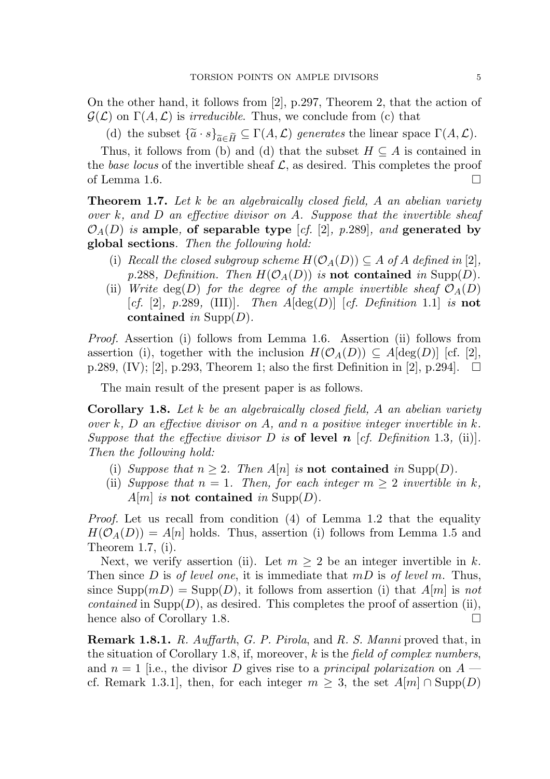On the other hand, it follows from [2], p.297, Theorem 2, that the action of  $\mathcal{G}(\mathcal{L})$  on  $\Gamma(A,\mathcal{L})$  is *irreducible*. Thus, we conclude from (c) that

(d) the subset  $\{\widetilde{a} \cdot s\}_{\widetilde{a} \in \widetilde{H}} \subseteq \Gamma(A, \mathcal{L})$  generates the linear space  $\Gamma(A, \mathcal{L})$ .

Thus, it follows from (b) and (d) that the subset  $H \subseteq A$  is contained in the base locus of the invertible sheaf  $\mathcal{L}$ , as desired. This completes the proof of Lemma 1.6.  $\Box$ 

**Theorem 1.7.** Let k be an algebraically closed field, A an abelian variety over  $k$ , and  $D$  an effective divisor on  $A$ . Suppose that the invertible sheaf  $\mathcal{O}_A(D)$  is ample, of separable type [cf. [2], p.289], and generated by global sections. Then the following hold:

- (i) Recall the closed subgroup scheme  $H(\mathcal{O}_A(D)) \subseteq A$  of A defined in [2], p.288, Definition. Then  $H(\mathcal{O}_A(D))$  is not contained in Supp(D).
- (ii) Write deg(D) for the degree of the ample invertible sheaf  $\mathcal{O}_A(D)$ [cf. [2], p.289, (III)]. Then  $A[\deg(D)]$  [cf. Definition 1.1] is not contained in  $\text{Supp}(D)$ .

Proof. Assertion (i) follows from Lemma 1.6. Assertion (ii) follows from assertion (i), together with the inclusion  $H(\mathcal{O}_A(D)) \subseteq A[\deg(D)]$  [cf. [2], p.289, (IV); [2], p.293, Theorem 1; also the first Definition in [2], p.294].  $\Box$ 

The main result of the present paper is as follows.

Corollary 1.8. Let k be an algebraically closed field, A an abelian variety over k, D an effective divisor on A, and n a positive integer invertible in k. Suppose that the effective divisor D is of level n [cf. Definition 1.3, (ii)]. Then the following hold:

- (i) Suppose that  $n \geq 2$ . Then A[n] is **not contained** in Supp(D).
- (ii) Suppose that  $n = 1$ . Then, for each integer  $m \geq 2$  invertible in k, A|m| is not contained in Supp(D).

Proof. Let us recall from condition (4) of Lemma 1.2 that the equality  $H(\mathcal{O}_A(D)) = A[n]$  holds. Thus, assertion (i) follows from Lemma 1.5 and Theorem 1.7, (i).

Next, we verify assertion (ii). Let  $m \geq 2$  be an integer invertible in k. Then since D is of level one, it is immediate that  $mD$  is of level m. Thus, since  $\text{Supp}(m) = \text{Supp}(D)$ , it follows from assertion (i) that  $A[m]$  is not *contained* in Supp $(D)$ , as desired. This completes the proof of assertion (ii), hence also of Corollary 1.8.

Remark 1.8.1. R. Auffarth, G. P. Pirola, and R. S. Manni proved that, in the situation of Corollary 1.8, if, moreover,  $k$  is the field of complex numbers, and  $n = 1$  [i.e., the divisor D gives rise to a *principal polarization* on  $A$ cf. Remark 1.3.1, then, for each integer  $m \geq 3$ , the set  $A[m] \cap \text{Supp}(D)$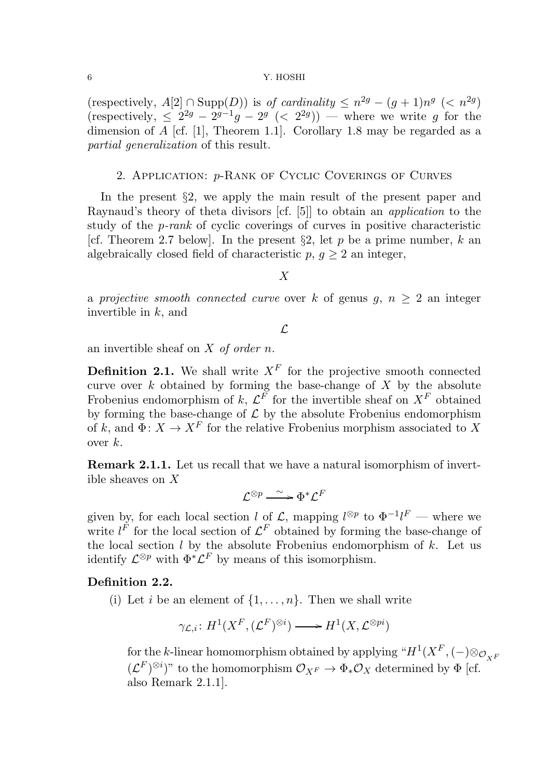(respectively,  $A[2] \cap \text{Supp}(D)$ ) is of cardinality  $\leq n^{2g} - (g+1)n^{g} \leq n^{2g}$ ) (respectively,  $\leq 2^{2g} - 2^{g-1}g - 2^g \ (< 2^{2g})$ ) — where we write g for the dimension of  $A$  [cf. [1], Theorem 1.1]. Corollary 1.8 may be regarded as a partial generalization of this result.

### 2. Application: p-Rank of Cyclic Coverings of Curves

In the present  $\S2$ , we apply the main result of the present paper and Raynaud's theory of theta divisors [cf. [5]] to obtain an application to the study of the p-rank of cyclic coverings of curves in positive characteristic [cf. Theorem 2.7 below]. In the present  $\S2$ , let p be a prime number, k an algebraically closed field of characteristic  $p, g \geq 2$  an integer,

# X

a projective smooth connected curve over k of genus  $q, n > 2$  an integer invertible in  $k$ , and

 $\mathcal{L}$ 

an invertible sheaf on  $X$  of order  $n$ .

**Definition 2.1.** We shall write  $X^F$  for the projective smooth connected curve over  $k$  obtained by forming the base-change of  $X$  by the absolute Frobenius endomorphism of k,  $\mathcal{L}^F$  for the invertible sheaf on  $X^F$  obtained by forming the base-change of  $\mathcal L$  by the absolute Frobenius endomorphism of k, and  $\Phi: X \to X^F$  for the relative Frobenius morphism associated to X over  $k$ .

Remark 2.1.1. Let us recall that we have a natural isomorphism of invertible sheaves on X

$$
\mathcal{L}^{\otimes p} \xrightarrow{\sim} \Phi^* \mathcal{L}^F
$$

given by, for each local section l of L, mapping  $l^{\otimes p}$  to  $\Phi^{-1}l^F$  — where we write  $l^F$  for the local section of  $\mathcal{L}^F$  obtained by forming the base-change of the local section  $l$  by the absolute Frobenius endomorphism of  $k$ . Let us identify  $\mathcal{L}^{\otimes p}$  with  $\Phi^*\mathcal{L}^F$  by means of this isomorphism.

# Definition 2.2.

(i) Let *i* be an element of  $\{1, \ldots, n\}$ . Then we shall write

$$
\gamma_{\mathcal{L},i} \colon H^1(X^F, (\mathcal{L}^F)^{\otimes i}) \longrightarrow H^1(X, \mathcal{L}^{\otimes pi})
$$

for the  $k$ -linear homomorphism obtained by applying " $H^1(X^F, (-) \otimes_{\mathcal{O}_{X^F}}$  $(\mathcal{L}^F)^{\otimes i}$ " to the homomorphism  $\mathcal{O}_{X^F} \to \Phi_* \mathcal{O}_X$  determined by  $\Phi$  [cf. also Remark 2.1.1].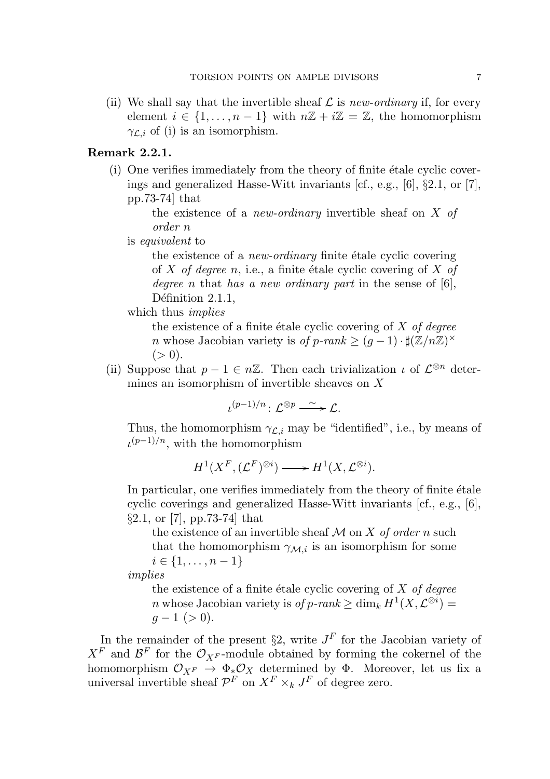(ii) We shall say that the invertible sheaf  $\mathcal L$  is new-ordinary if, for every element  $i \in \{1, \ldots, n-1\}$  with  $n\mathbb{Z} + i\mathbb{Z} = \mathbb{Z}$ , the homomorphism  $\gamma_{\mathcal{L},i}$  of (i) is an isomorphism.

# Remark 2.2.1.

 $(i)$  One verifies immediately from the theory of finite étale cyclic coverings and generalized Hasse-Witt invariants [cf., e.g., [6], §2.1, or [7], pp.73-74] that

> the existence of a *new-ordinary* invertible sheaf on  $X$  of order n

is equivalent to

the existence of a *new-ordinary* finite étale cyclic covering of X of degree n, i.e., a finite étale cyclic covering of X of degree n that has a new ordinary part in the sense of  $[6]$ , Définition 2.1.1,

which thus *implies* 

the existence of a finite étale cyclic covering of  $X$  of degree n whose Jacobian variety is of p-ran $k \ge (g-1) \cdot \sharp(\mathbb{Z}/n\mathbb{Z})^{\times}$  $(> 0).$ 

(ii) Suppose that  $p-1 \in n\mathbb{Z}$ . Then each trivialization  $\iota$  of  $\mathcal{L}^{\otimes n}$  determines an isomorphism of invertible sheaves on X

 $\iota^{(p-1)/n}$ :  $\mathcal{L}^{\otimes p} \longrightarrow \mathcal{L}$ .

Thus, the homomorphism  $\gamma_{\mathcal{L},i}$  may be "identified", i.e., by means of  $u^{(p-1)/n}$ , with the homomorphism

 $H^1(X^F, (\mathcal{L}^F)^{\otimes i}) \longrightarrow H^1(X, \mathcal{L}^{\otimes i}).$ 

In particular, one verifies immediately from the theory of finite  $\acute{e}$ tale cyclic coverings and generalized Hasse-Witt invariants [cf., e.g., [6], §2.1, or [7], pp.73-74] that

the existence of an invertible sheaf  $M$  on  $X$  of order n such that the homomorphism  $\gamma_{\mathcal{M},i}$  is an isomorphism for some  $i \in \{1, \ldots, n-1\}$ 

implies

the existence of a finite étale cyclic covering of  $X$  of degree *n* whose Jacobian variety is  $of p\text{-}rank \ge \dim_k H^1(X, \mathcal{L}^{\otimes i}) =$  $g-1$  (> 0).

In the remainder of the present  $\S2$ , write  $J<sup>F</sup>$  for the Jacobian variety of  $X^F$  and  $\mathcal{B}^F$  for the  $\mathcal{O}_{X^F}$ -module obtained by forming the cokernel of the homomorphism  $\mathcal{O}_{X^F} \to \Phi_* \mathcal{O}_X$  determined by  $\Phi$ . Moreover, let us fix a universal invertible sheaf  $\mathcal{P}^F$  on  $X^F \times_k J^F$  of degree zero.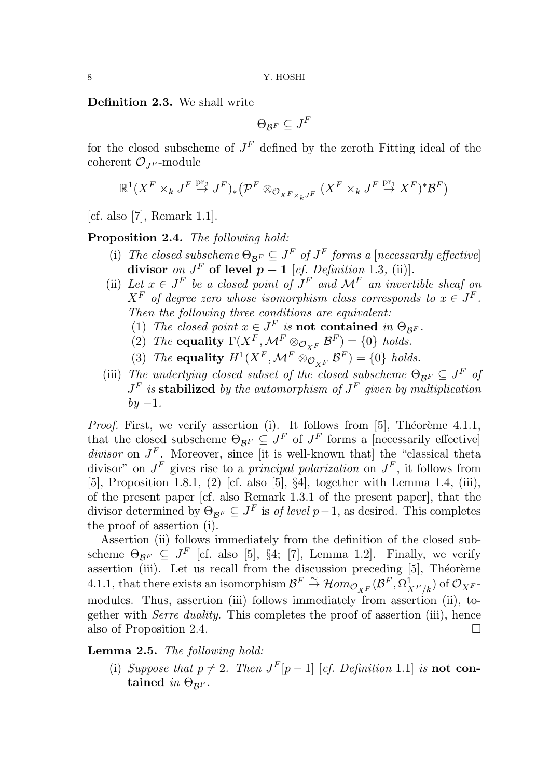Definition 2.3. We shall write

$$
\Theta_{{\cal B}^F}\subseteq J^F
$$

for the closed subscheme of  $J<sup>F</sup>$  defined by the zeroth Fitting ideal of the coherent  $\mathcal{O}_{IF}$ -module

$$
\mathbb{R}^1(X^F\times_k J^F\stackrel{\operatorname{pr}_2}{\to} J^F)_*(\mathcal{P}^F\otimes_{\mathcal{O}_{X^F\times_k J^F}}(X^F\times_k J^F\stackrel{\operatorname{pr}_1}{\to} X^F)^*\mathcal{B}^F)
$$

[cf. also [7], Remark 1.1].

Proposition 2.4. The following hold:

- (i) The closed subscheme  $\Theta_{\mathcal{B}^F} \subseteq J^F$  of  $J^F$  forms a [necessarily effective] divisor on  $J^F$  of level  $\tilde{p} - 1$  [cf. Definition 1.3, (ii)].
- (ii) Let  $x \in J^F$  be a closed point of  $J^F$  and  $\mathcal{M}^F$  an invertible sheaf on  $X^F$  of degree zero whose isomorphism class corresponds to  $x \in J^F$ . Then the following three conditions are equivalent:
	- (1) The closed point  $x \in J^F$  is **not contained** in  $\Theta_{\mathcal{B}^F}$ .
	- (2) The equality  $\Gamma(X^F, \mathcal{M}^F \otimes_{\mathcal{O}_{X^F}} \mathcal{B}^F) = \{0\}$  holds.
	- (3) The equality  $H^1(X^F, \mathcal{M}^F \otimes_{\mathcal{O}_{X^F}} \mathcal{B}^F) = \{0\}$  holds.
- (iii) The underlying closed subset of the closed subscheme  $\Theta_{\mathcal{B}^F} \subseteq J^F$  of  $J^F$  is stabilized by the automorphism of  $J^F$  given by multiplication  $by -1.$

*Proof.* First, we verify assertion (i). It follows from [5], Théorème 4.1.1, that the closed subscheme  $\Theta_{\mathcal{B}^F} \subseteq J^F$  of  $J^F$  forms a [necessarily effective] divisor on  $J<sup>F</sup>$ . Moreover, since [it is well-known that] the "classical theta divisor" on  $J^F$  gives rise to a *principal polarization* on  $J^F$ , it follows from [5], Proposition 1.8.1, (2) [cf. also [5], §4], together with Lemma 1.4, (iii), of the present paper [cf. also Remark 1.3.1 of the present paper], that the divisor determined by  $\Theta_{\mathcal{B}^F} \subseteq J^F$  is *of level*  $p-1$ , as desired. This completes the proof of assertion (i).

Assertion (ii) follows immediately from the definition of the closed subscheme  $\Theta_{\mathcal{B}^F} \subseteq J^F$  [cf. also [5], §4; [7], Lemma 1.2]. Finally, we verify assertion (iii). Let us recall from the discussion preceding  $[5]$ , Théorème 4.1.1, that there exists an isomorphism  $\mathcal{B}^F \stackrel{\sim}{\to} \mathcal{H}om_{\mathcal{O}_{X^F}}(\mathcal{B}^F, \Omega^1_{X^F/k})$  of  $\mathcal{O}_{X^F}$ modules. Thus, assertion (iii) follows immediately from assertion (ii), together with Serre duality. This completes the proof of assertion (iii), hence also of Proposition 2.4.

Lemma 2.5. The following hold:

(i) Suppose that  $p \neq 2$ . Then  $J^F[p-1]$  [cf. Definition 1.1] is **not con**tained in  $\Theta_{\mathcal{R}^F}$ .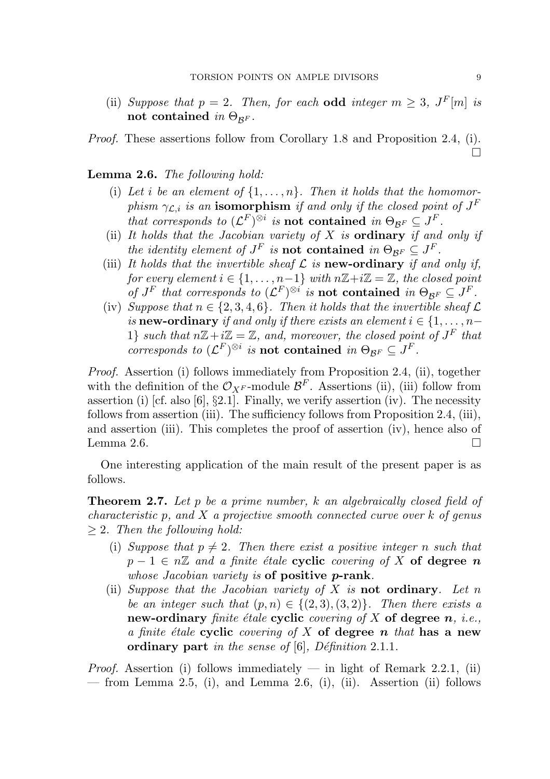- (ii) Suppose that  $p = 2$ . Then, for each odd integer  $m \geq 3$ ,  $J^F[m]$  is not contained in  $\Theta_{\mathcal{B}^F}$ .
- Proof. These assertions follow from Corollary 1.8 and Proposition 2.4, (i).

Lemma 2.6. The following hold:

- (i) Let i be an element of  $\{1, \ldots, n\}$ . Then it holds that the homomorphism  $\gamma_{\mathcal{L},i}$  is an isomorphism if and only if the closed point of  $J^F$ that corresponds to  $(\mathcal{L}^F)^{\otimes i}$  is **not contained** in  $\Theta_{\mathcal{B}^F} \subseteq J^F$ .
- (ii) It holds that the Jacobian variety of  $X$  is **ordinary** if and only if the identity element of  $J^F$  is **not contained** in  $\Theta_{\mathcal{B}^F} \subseteq J^F$ .
- (iii) It holds that the invertible sheaf  $\mathcal L$  is new-ordinary if and only if, for every element  $i \in \{1, \ldots, n-1\}$  with  $n\mathbb{Z}+i\mathbb{Z}=\mathbb{Z}$ , the closed point of  $J^F$  that corresponds to  $(\mathcal{L}^F)^{\otimes i}$  is **not contained** in  $\Theta_{\mathcal{B}^F} \subseteq J^F$ .
- (iv) Suppose that  $n \in \{2, 3, 4, 6\}$ . Then it holds that the invertible sheaf  $\mathcal L$ is **new-ordinary** if and only if there exists an element  $i \in \{1, \ldots, n-\}$ 1} such that  $n\mathbb{Z}+i\mathbb{Z}=\mathbb{Z}$ , and, moreover, the closed point of  $J^F$  that corresponds to  $(\mathcal{L}^F)^{\otimes i}$  is **not contained** in  $\Theta_{\mathcal{B}^F} \subseteq J^F$ .

Proof. Assertion (i) follows immediately from Proposition 2.4, (ii), together with the definition of the  $\mathcal{O}_{X^F}$ -module  $\mathcal{B}^F$ . Assertions (ii), (iii) follow from assertion (i) [cf. also [6],  $\S2.1$ ]. Finally, we verify assertion (iv). The necessity follows from assertion (iii). The sufficiency follows from Proposition 2.4, (iii), and assertion (iii). This completes the proof of assertion (iv), hence also of Lemma 2.6.  $\Box$ 

One interesting application of the main result of the present paper is as follows.

**Theorem 2.7.** Let p be a prime number, k an algebraically closed field of *characteristic* p, and  $X$  a projective smooth connected curve over  $k$  of genus  $\geq 2$ . Then the following hold:

- (i) Suppose that  $p \neq 2$ . Then there exist a positive integer n such that  $p-1 \in n\mathbb{Z}$  and a finite étale cyclic covering of X of degree n whose Jacobian variety is of positive *p*-rank.
- (ii) Suppose that the Jacobian variety of X is not ordinary. Let n be an integer such that  $(p, n) \in \{(2, 3), (3, 2)\}\$ . Then there exists a new-ordinary finite étale cyclic covering of X of degree  $n$ , *i.e.*, a finite étale cyclic covering of  $X$  of degree n that has a new ordinary part in the sense of  $[6]$ , Définition 2.1.1.

*Proof.* Assertion (i) follows immediately — in light of Remark 2.2.1, (ii) — from Lemma 2.5, (i), and Lemma 2.6, (i), (ii). Assertion (ii) follows

П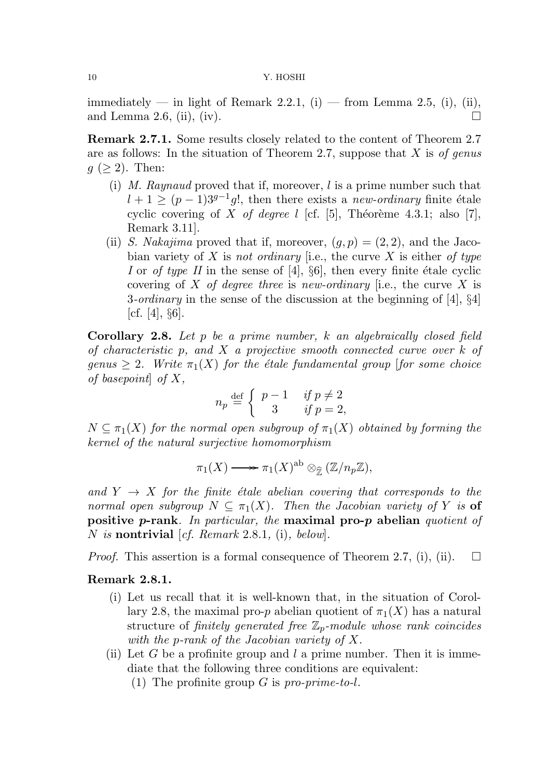immediately — in light of Remark 2.2.1, (i) — from Lemma 2.5, (i), (ii), and Lemma 2.6, (ii), (iv).

Remark 2.7.1. Some results closely related to the content of Theorem 2.7 are as follows: In the situation of Theorem 2.7, suppose that  $X$  is of genus  $g \ (\geq 2)$ . Then:

- (i) M. Raynaud proved that if, moreover, l is a prime number such that  $l + 1 \ge (p - 1)3^{g-1}g!$ , then there exists a new-ordinary finite étale cyclic covering of X of degree l [cf. [5], Théorème 4.3.1; also [7], Remark 3.11].
- (ii) S. Nakajima proved that if, moreover,  $(q, p) = (2, 2)$ , and the Jacobian variety of X is not ordinary [i.e., the curve X is either of type I or of type II in the sense of [4],  $\S6$ ], then every finite étale cyclic covering of X of degree three is new-ordinary [i.e., the curve X is 3-*ordinary* in the sense of the discussion at the beginning of [4],  $\S4$ ] [cf.  $[4]$ ,  $\S6$ ].

**Corollary 2.8.** Let  $p$  be a prime number,  $k$  an algebraically closed field of characteristic p, and  $X$  a projective smooth connected curve over  $k$  of genus  $> 2$ . Write  $\pi_1(X)$  for the étale fundamental group [for some choice of basepoint of  $X$ ,

$$
n_p \stackrel{\text{def}}{=} \begin{cases} p-1 & \text{if } p \neq 2 \\ 3 & \text{if } p = 2, \end{cases}
$$

 $N \subseteq \pi_1(X)$  for the normal open subgroup of  $\pi_1(X)$  obtained by forming the kernel of the natural surjective homomorphism

$$
\pi_1(X) \longrightarrow {\pi_1(X)}^{\mathrm{ab}} \otimes_{\widehat{\mathbb{Z}}} (\mathbb{Z}/n_p \mathbb{Z}),
$$

and  $Y \rightarrow X$  for the finite étale abelian covering that corresponds to the normal open subgroup  $N \subset \pi_1(X)$ . Then the Jacobian variety of Y is **of** positive p-rank. In particular, the maximal pro-p abelian quotient of N is nontrivial [cf. Remark 2.8.1, (i), below].

*Proof.* This assertion is a formal consequence of Theorem 2.7, (i), (ii).  $\square$ 

# Remark 2.8.1.

- (i) Let us recall that it is well-known that, in the situation of Corollary 2.8, the maximal pro-p abelian quotient of  $\pi_1(X)$  has a natural structure of finitely generated free  $\mathbb{Z}_p$ -module whose rank coincides with the p-rank of the Jacobian variety of X.
- (ii) Let G be a profinite group and  $l$  a prime number. Then it is immediate that the following three conditions are equivalent:
	- (1) The profinite group  $G$  is pro-prime-to-l.